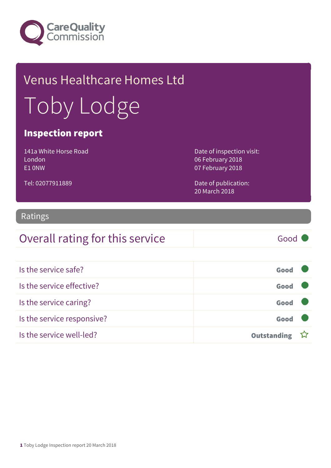

# Venus Healthcare Homes Ltd Toby Lodge

### Inspection report

141a White Horse Road London E1 0NW

Tel: 02077911889

Date of inspection visit: 06 February 2018 07 February 2018

Date of publication: 20 March 2018

#### Ratings

### Overall rating for this service Good

| Is the service safe?       | Good               |  |
|----------------------------|--------------------|--|
| Is the service effective?  | Good               |  |
| Is the service caring?     | Good               |  |
| Is the service responsive? | Good               |  |
| Is the service well-led?   | <b>Outstanding</b> |  |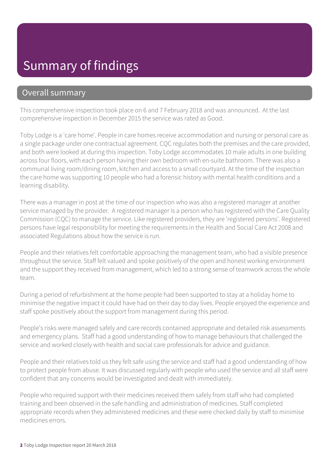## Summary of findings

#### Overall summary

This comprehensive inspection took place on 6 and 7 February 2018 and was announced. At the last comprehensive inspection in December 2015 the service was rated as Good.

Toby Lodge is a 'care home'. People in care homes receive accommodation and nursing or personal care as a single package under one contractual agreement. CQC regulates both the premises and the care provided, and both were looked at during this inspection. Toby Lodge accommodates 10 male adults in one building across four floors, with each person having their own bedroom with en-suite bathroom. There was also a communal living room/dining room, kitchen and access to a small courtyard. At the time of the inspection the care home was supporting 10 people who had a forensic history with mental health conditions and a learning disability.

There was a manager in post at the time of our inspection who was also a registered manager at another service managed by the provider. A registered manager is a person who has registered with the Care Quality Commission (CQC) to manage the service. Like registered providers, they are 'registered persons'. Registered persons have legal responsibility for meeting the requirements in the Health and Social Care Act 2008 and associated Regulations about how the service is run.

People and their relatives felt comfortable approaching the management team, who had a visible presence throughout the service. Staff felt valued and spoke positively of the open and honest working environment and the support they received from management, which led to a strong sense of teamwork across the whole team.

During a period of refurbishment at the home people had been supported to stay at a holiday home to minimise the negative impact it could have had on their day to day lives. People enjoyed the experience and staff spoke positively about the support from management during this period.

People's risks were managed safely and care records contained appropriate and detailed risk assessments and emergency plans. Staff had a good understanding of how to manage behaviours that challenged the service and worked closely with health and social care professionals for advice and guidance.

People and their relatives told us they felt safe using the service and staff had a good understanding of how to protect people from abuse. It was discussed regularly with people who used the service and all staff were confident that any concerns would be investigated and dealt with immediately.

People who required support with their medicines received them safely from staff who had completed training and been observed in the safe handling and administration of medicines. Staff completed appropriate records when they administered medicines and these were checked daily by staff to minimise medicines errors.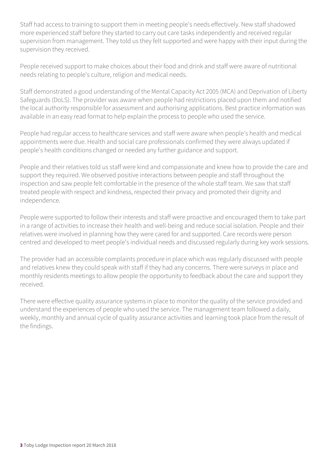Staff had access to training to support them in meeting people's needs effectively. New staff shadowed more experienced staff before they started to carry out care tasks independently and received regular supervision from management. They told us they felt supported and were happy with their input during the supervision they received.

People received support to make choices about their food and drink and staff were aware of nutritional needs relating to people's culture, religion and medical needs.

Staff demonstrated a good understanding of the Mental Capacity Act 2005 (MCA) and Deprivation of Liberty Safeguards (DoLS). The provider was aware when people had restrictions placed upon them and notified the local authority responsible for assessment and authorising applications. Best practice information was available in an easy read format to help explain the process to people who used the service.

People had regular access to healthcare services and staff were aware when people's health and medical appointments were due. Health and social care professionals confirmed they were always updated if people's health conditions changed or needed any further guidance and support.

People and their relatives told us staff were kind and compassionate and knew how to provide the care and support they required. We observed positive interactions between people and staff throughout the inspection and saw people felt comfortable in the presence of the whole staff team. We saw that staff treated people with respect and kindness, respected their privacy and promoted their dignity and independence.

People were supported to follow their interests and staff were proactive and encouraged them to take part in a range of activities to increase their health and well-being and reduce social isolation. People and their relatives were involved in planning how they were cared for and supported. Care records were person centred and developed to meet people's individual needs and discussed regularly during key work sessions.

The provider had an accessible complaints procedure in place which was regularly discussed with people and relatives knew they could speak with staff if they had any concerns. There were surveys in place and monthly residents meetings to allow people the opportunity to feedback about the care and support they received.

There were effective quality assurance systems in place to monitor the quality of the service provided and understand the experiences of people who used the service. The management team followed a daily, weekly, monthly and annual cycle of quality assurance activities and learning took place from the result of the findings.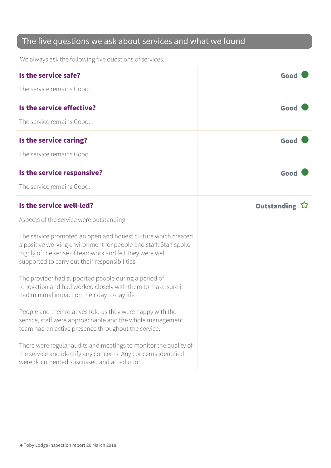## The five questions we ask about services and what we found

We always ask the following five questions of services.

| Is the service safe?                                                                                                                                                                                                                           | Good                                 |
|------------------------------------------------------------------------------------------------------------------------------------------------------------------------------------------------------------------------------------------------|--------------------------------------|
| The service remains Good.                                                                                                                                                                                                                      |                                      |
| Is the service effective?                                                                                                                                                                                                                      | Good                                 |
| The service remains Good.                                                                                                                                                                                                                      |                                      |
| Is the service caring?                                                                                                                                                                                                                         | Good                                 |
| The service remains Good.                                                                                                                                                                                                                      |                                      |
| Is the service responsive?                                                                                                                                                                                                                     | Good                                 |
| The service remains Good.                                                                                                                                                                                                                      |                                      |
| Is the service well-led?                                                                                                                                                                                                                       | Outstanding $\overleftrightarrow{v}$ |
| Aspects of the service were outstanding.                                                                                                                                                                                                       |                                      |
| The service promoted an open and honest culture which created<br>a positive working environment for people and staff. Staff spoke<br>highly of the sense of teamwork and felt they were well<br>supported to carry out their responsibilities. |                                      |
| The provider had supported people during a period of<br>renovation and had worked closely with them to make sure it<br>had minimal impact on their day to day life.                                                                            |                                      |
| People and their relatives told us they were happy with the<br>service, staff were approachable and the whole management<br>team had an active presence throughout the service.                                                                |                                      |
| There were regular audits and meetings to monitor the quality of<br>the service and identify any concerns. Any concerns identified<br>were documented, discussed and acted upon.                                                               |                                      |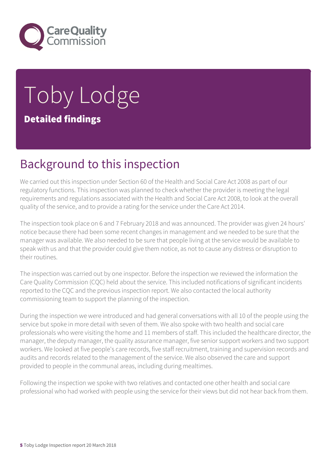

# Toby Lodge Detailed findings

## Background to this inspection

We carried out this inspection under Section 60 of the Health and Social Care Act 2008 as part of our regulatory functions. This inspection was planned to check whether the provider is meeting the legal requirements and regulations associated with the Health and Social Care Act 2008, to look at the overall quality of the service, and to provide a rating for the service under the Care Act 2014.

The inspection took place on 6 and 7 February 2018 and was announced. The provider was given 24 hours' notice because there had been some recent changes in management and we needed to be sure that the manager was available. We also needed to be sure that people living at the service would be available to speak with us and that the provider could give them notice, as not to cause any distress or disruption to their routines.

The inspection was carried out by one inspector. Before the inspection we reviewed the information the Care Quality Commission (CQC) held about the service. This included notifications of significant incidents reported to the CQC and the previous inspection report. We also contacted the local authority commissioning team to support the planning of the inspection.

During the inspection we were introduced and had general conversations with all 10 of the people using the service but spoke in more detail with seven of them. We also spoke with two health and social care professionals who were visiting the home and 11 members of staff. This included the healthcare director, the manager, the deputy manager, the quality assurance manager, five senior support workers and two support workers. We looked at five people's care records, five staff recruitment, training and supervision records and audits and records related to the management of the service. We also observed the care and support provided to people in the communal areas, including during mealtimes.

Following the inspection we spoke with two relatives and contacted one other health and social care professional who had worked with people using the service for their views but did not hear back from them.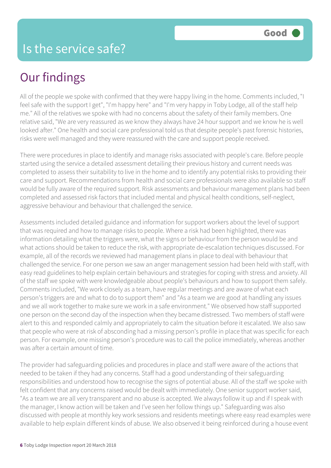All of the people we spoke with confirmed that they were happy living in the home. Comments included, "I feel safe with the support I get", "I'm happy here" and "I'm very happy in Toby Lodge, all of the staff help me." All of the relatives we spoke with had no concerns about the safety of their family members. One relative said, "We are very reassured as we know they always have 24 hour support and we know he is well looked after." One health and social care professional told us that despite people's past forensic histories, risks were well managed and they were reassured with the care and support people received.

There were procedures in place to identify and manage risks associated with people's care. Before people started using the service a detailed assessment detailing their previous history and current needs was completed to assess their suitability to live in the home and to identify any potential risks to providing their care and support. Recommendations from health and social care professionals were also available so staff would be fully aware of the required support. Risk assessments and behaviour management plans had been completed and assessed risk factors that included mental and physical health conditions, self-neglect, aggressive behaviour and behaviour that challenged the service.

Assessments included detailed guidance and information for support workers about the level of support that was required and how to manage risks to people. Where a risk had been highlighted, there was information detailing what the triggers were, what the signs or behaviour from the person would be and what actions should be taken to reduce the risk, with appropriate de-escalation techniques discussed. For example, all of the records we reviewed had management plans in place to deal with behaviour that challenged the service. For one person we saw an anger management session had been held with staff, with easy read guidelines to help explain certain behaviours and strategies for coping with stress and anxiety. All of the staff we spoke with were knowledgeable about people's behaviours and how to support them safely. Comments included, "We work closely as a team, have regular meetings and are aware of what each person's triggers are and what to do to support them" and "As a team we are good at handling any issues and we all work together to make sure we work in a safe environment." We observed how staff supported one person on the second day of the inspection when they became distressed. Two members of staff were alert to this and responded calmly and appropriately to calm the situation before it escalated. We also saw that people who were at risk of absconding had a missing person's profile in place that was specific for each person. For example, one missing person's procedure was to call the police immediately, whereas another was after a certain amount of time.

The provider had safeguarding policies and procedures in place and staff were aware of the actions that needed to be taken if they had any concerns. Staff had a good understanding of their safeguarding responsibilities and understood how to recognise the signs of potential abuse. All of the staff we spoke with felt confident that any concerns raised would be dealt with immediately. One senior support worker said, "As a team we are all very transparent and no abuse is accepted. We always follow it up and if I speak with the manager, I know action will be taken and I've seen her follow things up." Safeguarding was also discussed with people at monthly key work sessions and residents meetings where easy read examples were available to help explain different kinds of abuse. We also observed it being reinforced during a house event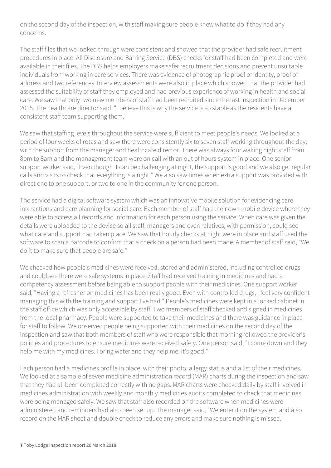on the second day of the inspection, with staff making sure people knew what to do if they had any concerns.

The staff files that we looked through were consistent and showed that the provider had safe recruitment procedures in place. All Disclosure and Barring Service (DBS) checks for staff had been completed and were available in their files. The DBS helps employers make safer recruitment decisions and prevent unsuitable individuals from working in care services. There was evidence of photographic proof of identity, proof of address and two references. Interview assessments were also in place which showed that the provider had assessed the suitability of staff they employed and had previous experience of working in health and social care. We saw that only two new members of staff had been recruited since the last inspection in December 2015. The healthcare director said, "I believe this is why the service is so stable as the residents have a consistent staff team supporting them."

We saw that staffing levels throughout the service were sufficient to meet people's needs. We looked at a period of four weeks of rotas and saw there were consistently six to seven staff working throughout the day, with the support from the manager and healthcare director. There was always four waking night staff from 8pm to 8am and the management team were on call with an out of hours system in place. One senior support worker said, "Even though it can be challenging at night, the support is good and we also get regular calls and visits to check that everything is alright." We also saw times when extra support was provided with direct one to one support, or two to one in the community for one person.

The service had a digital software system which was an innovative mobile solution for evidencing care interactions and care planning for social care. Each member of staff had their own mobile device where they were able to access all records and information for each person using the service. When care was given the details were uploaded to the device so all staff, managers and even relatives, with permission, could see what care and support had taken place. We saw that hourly checks at night were in place and staff used the software to scan a barcode to confirm that a check on a person had been made. A member of staff said, "We do it to make sure that people are safe."

We checked how people's medicines were received, stored and administered, including controlled drugs and could see there were safe systems in place. Staff had received training in medicines and had a competency assessment before being able to support people with their medicines. One support worker said, "Having a refresher on medicines has been really good. Even with controlled drugs, I feel very confident managing this with the training and support I've had." People's medicines were kept in a locked cabinet in the staff office which was only accessible by staff. Two members of staff checked and signed in medicines from the local pharmacy. People were supported to take their medicines and there was guidance in place for staff to follow. We observed people being supported with their medicines on the second day of the inspection and saw that both members of staff who were responsible that morning followed the provider's policies and procedures to ensure medicines were received safely. One person said, "I come down and they help me with my medicines. I bring water and they help me, it's good."

Each person had a medicines profile in place, with their photo, allergy status and a list of their medicines. We looked at a sample of seven medicine administration record (MAR) charts during the inspection and saw that they had all been completed correctly with no gaps. MAR charts were checked daily by staff involved in medicines administration with weekly and monthly medicines audits completed to check that medicines were being managed safely. We saw that staff also recorded on the software when medicines were administered and reminders had also been set up. The manager said, "We enter it on the system and also record on the MAR sheet and double check to reduce any errors and make sure nothing is missed."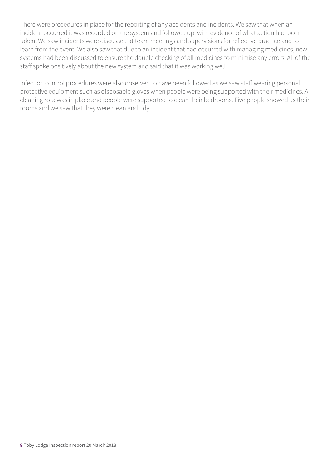There were procedures in place for the reporting of any accidents and incidents. We saw that when an incident occurred it was recorded on the system and followed up, with evidence of what action had been taken. We saw incidents were discussed at team meetings and supervisions for reflective practice and to learn from the event. We also saw that due to an incident that had occurred with managing medicines, new systems had been discussed to ensure the double checking of all medicines to minimise any errors. All of the staff spoke positively about the new system and said that it was working well.

Infection control procedures were also observed to have been followed as we saw staff wearing personal protective equipment such as disposable gloves when people were being supported with their medicines. A cleaning rota was in place and people were supported to clean their bedrooms. Five people showed us their rooms and we saw that they were clean and tidy.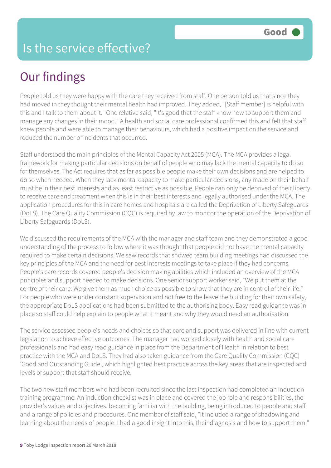People told us they were happy with the care they received from staff. One person told us that since they had moved in they thought their mental health had improved. They added, "[Staff member] is helpful with this and I talk to them about it." One relative said, "It's good that the staff know how to support them and manage any changes in their mood." A health and social care professional confirmed this and felt that staff knew people and were able to manage their behaviours, which had a positive impact on the service and reduced the number of incidents that occurred.

Staff understood the main principles of the Mental Capacity Act 2005 (MCA). The MCA provides a legal framework for making particular decisions on behalf of people who may lack the mental capacity to do so for themselves. The Act requires that as far as possible people make their own decisions and are helped to do so when needed. When they lack mental capacity to make particular decisions, any made on their behalf must be in their best interests and as least restrictive as possible. People can only be deprived of their liberty to receive care and treatment when this is in their best interests and legally authorised under the MCA. The application procedures for this in care homes and hospitals are called the Deprivation of Liberty Safeguards (DoLS). The Care Quality Commission (CQC) is required by law to monitor the operation of the Deprivation of Liberty Safeguards (DoLS).

We discussed the requirements of the MCA with the manager and staff team and they demonstrated a good understanding of the process to follow where it was thought that people did not have the mental capacity required to make certain decisions. We saw records that showed team building meetings had discussed the key principles of the MCA and the need for best interests meetings to take place if they had concerns. People's care records covered people's decision making abilities which included an overview of the MCA principles and support needed to make decisions. One senior support worker said, "We put them at the centre of their care. We give them as much choice as possible to show that they are in control of their life." For people who were under constant supervision and not free to the leave the building for their own safety, the appropriate DoLS applications had been submitted to the authorising body. Easy read guidance was in place so staff could help explain to people what it meant and why they would need an authorisation.

The service assessed people's needs and choices so that care and support was delivered in line with current legislation to achieve effective outcomes. The manager had worked closely with health and social care professionals and had easy read guidance in place from the Department of Health in relation to best practice with the MCA and DoLS. They had also taken guidance from the Care Quality Commission (CQC) 'Good and Outstanding Guide', which highlighted best practice across the key areas that are inspected and levels of support that staff should receive.

The two new staff members who had been recruited since the last inspection had completed an induction training programme. An induction checklist was in place and covered the job role and responsibilities, the provider's values and objectives, becoming familiar with the building, being introduced to people and staff and a range of policies and procedures. One member of staff said, "It included a range of shadowing and learning about the needs of people. I had a good insight into this, their diagnosis and how to support them."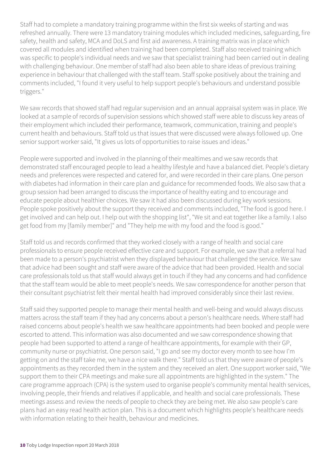Staff had to complete a mandatory training programme within the first six weeks of starting and was refreshed annually. There were 13 mandatory training modules which included medicines, safeguarding, fire safety, health and safety, MCA and DoLS and first aid awareness. A training matrix was in place which covered all modules and identified when training had been completed. Staff also received training which was specific to people's individual needs and we saw that specialist training had been carried out in dealing with challenging behaviour. One member of staff had also been able to share ideas of previous training experience in behaviour that challenged with the staff team. Staff spoke positively about the training and comments included, "I found it very useful to help support people's behaviours and understand possible triggers."

We saw records that showed staff had regular supervision and an annual appraisal system was in place. We looked at a sample of records of supervision sessions which showed staff were able to discuss key areas of their employment which included their performance, teamwork, communication, training and people's current health and behaviours. Staff told us that issues that were discussed were always followed up. One senior support worker said, "It gives us lots of opportunities to raise issues and ideas."

People were supported and involved in the planning of their mealtimes and we saw records that demonstrated staff encouraged people to lead a healthy lifestyle and have a balanced diet. People's dietary needs and preferences were respected and catered for, and were recorded in their care plans. One person with diabetes had information in their care plan and guidance for recommended foods. We also saw that a group session had been arranged to discuss the importance of healthy eating and to encourage and educate people about healthier choices. We saw it had also been discussed during key work sessions. People spoke positively about the support they received and comments included, "The food is good here. I get involved and can help out. I help out with the shopping list", "We sit and eat together like a family. I also get food from my [family member]" and "They help me with my food and the food is good."

Staff told us and records confirmed that they worked closely with a range of health and social care professionals to ensure people received effective care and support. For example, we saw that a referral had been made to a person's psychiatrist when they displayed behaviour that challenged the service. We saw that advice had been sought and staff were aware of the advice that had been provided. Health and social care professionals told us that staff would always get in touch if they had any concerns and had confidence that the staff team would be able to meet people's needs. We saw correspondence for another person that their consultant psychiatrist felt their mental health had improved considerably since their last review.

Staff said they supported people to manage their mental health and well-being and would always discuss matters across the staff team if they had any concerns about a person's healthcare needs. Where staff had raised concerns about people's health we saw healthcare appointments had been booked and people were escorted to attend. This information was also documented and we saw correspondence showing that people had been supported to attend a range of healthcare appointments, for example with their GP, community nurse or psychiatrist. One person said, "I go and see my doctor every month to see how I'm getting on and the staff take me, we have a nice walk there." Staff told us that they were aware of people's appointments as they recorded them in the system and they received an alert. One support worker said, "We support them to their CPA meetings and make sure all appointments are highlighted in the system." The care programme approach (CPA) is the system used to organise people's community mental health services, involving people, their friends and relatives if applicable, and health and social care professionals. These meetings assess and review the needs of people to check they are being met. We also saw people's care plans had an easy read health action plan. This is a document which highlights people's healthcare needs with information relating to their health, behaviour and medicines.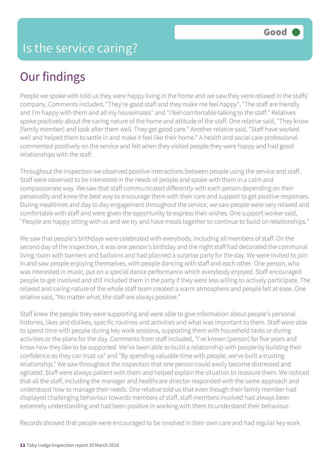People we spoke with told us they were happy living in the home and we saw they were relaxed in the staffs' company. Comments included, "They're good staff and they make me feel happy", "The staff are friendly and I'm happy with them and all my housemates" and "I feel comfortable talking to the staff." Relatives spoke positively about the caring nature of the home and attitude of the staff. One relative said, "They know [family member] and look after them well. They get good care." Another relative said, "Staff have worked well and helped them to settle in and make it feel like their home." A health and social care professional commented positively on the service and felt when they visited people they were happy and had good relationships with the staff.

Throughout the inspection we observed positive interactions between people using the service and staff. Staff were observed to be interested in the needs of people and spoke with them in a calm and compassionate way. We saw that staff communicated differently with each person depending on their personality and knew the best way to encourage them with their care and support to get positive responses. During mealtimes and day to day engagement throughout the service, we saw people were very relaxed and comfortable with staff and were given the opportunity to express their wishes. One support worker said, "People are happy sitting with us and we try and have meals together to continue to build on relationships."

We saw that people's birthdays were celebrated with everybody, including all members of staff. On the second day of the inspection, it was one person's birthday and the night staff had decorated the communal living room with banners and balloons and had planned a surprise party for the day. We were invited to join in and saw people enjoying themselves, with people dancing with staff and each other. One person, who was interested in music, put on a special dance performance which everybody enjoyed. Staff encouraged people to get involved and still included them in the party if they were less willing to actively participate. The relaxed and caring nature of the whole staff team created a warm atmosphere and people felt at ease. One relative said, "No matter what, the staff are always positive."

Staff knew the people they were supporting and were able to give information about people's personal histories, likes and dislikes, specific routines and activities and what was important to them. Staff were able to spend time with people during key work sessions, supporting them with household tasks or during activities or the plans for the day. Comments from staff included, "I've known [person] for five years and know how they like to be supported. We've been able to build a relationship with people by building their confidence so they can trust us" and "By spending valuable time with people, we've built a trusting relationship." We saw throughout the inspection that one person could easily become distressed and agitated. Staff were always patient with them and helped explain the situation to reassure them. We noticed that all the staff, including the manager and healthcare director responded with the same approach and understood how to manage their needs. One relative told us that even though their family member had displayed challenging behaviour towards members of staff, staff members involved had always been extremely understanding and had been positive in working with them to understand their behaviour.

Records showed that people were encouraged to be involved in their own care and had regular key work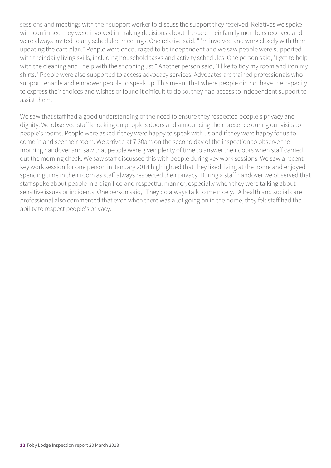sessions and meetings with their support worker to discuss the support they received. Relatives we spoke with confirmed they were involved in making decisions about the care their family members received and were always invited to any scheduled meetings. One relative said, "I'm involved and work closely with them updating the care plan." People were encouraged to be independent and we saw people were supported with their daily living skills, including household tasks and activity schedules. One person said, "I get to help with the cleaning and I help with the shopping list." Another person said, "I like to tidy my room and iron my shirts." People were also supported to access advocacy services. Advocates are trained professionals who support, enable and empower people to speak up. This meant that where people did not have the capacity to express their choices and wishes or found it difficult to do so, they had access to independent support to assist them.

We saw that staff had a good understanding of the need to ensure they respected people's privacy and dignity. We observed staff knocking on people's doors and announcing their presence during our visits to people's rooms. People were asked if they were happy to speak with us and if they were happy for us to come in and see their room. We arrived at 7:30am on the second day of the inspection to observe the morning handover and saw that people were given plenty of time to answer their doors when staff carried out the morning check. We saw staff discussed this with people during key work sessions. We saw a recent key work session for one person in January 2018 highlighted that they liked living at the home and enjoyed spending time in their room as staff always respected their privacy. During a staff handover we observed that staff spoke about people in a dignified and respectful manner, especially when they were talking about sensitive issues or incidents. One person said, "They do always talk to me nicely." A health and social care professional also commented that even when there was a lot going on in the home, they felt staff had the ability to respect people's privacy.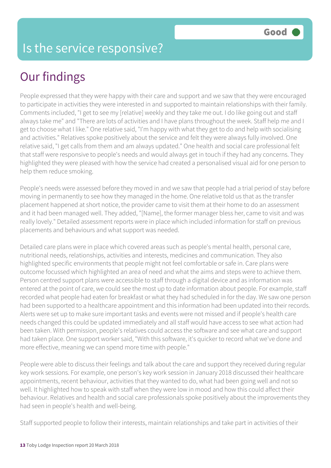People expressed that they were happy with their care and support and we saw that they were encouraged to participate in activities they were interested in and supported to maintain relationships with their family. Comments included, "I get to see my [relative] weekly and they take me out. I do like going out and staff always take me" and "There are lots of activities and I have plans throughout the week. Staff help me and I get to choose what I like." One relative said, "I'm happy with what they get to do and help with socialising and activities." Relatives spoke positively about the service and felt they were always fully involved. One relative said, "I get calls from them and am always updated." One health and social care professional felt that staff were responsive to people's needs and would always get in touch if they had any concerns. They highlighted they were pleased with how the service had created a personalised visual aid for one person to help them reduce smoking.

People's needs were assessed before they moved in and we saw that people had a trial period of stay before moving in permanently to see how they managed in the home. One relative told us that as the transfer placement happened at short notice, the provider came to visit them at their home to do an assessment and it had been managed well. They added, "[Name], the former manager bless her, came to visit and was really lovely." Detailed assessment reports were in place which included information for staff on previous placements and behaviours and what support was needed.

Detailed care plans were in place which covered areas such as people's mental health, personal care, nutritional needs, relationships, activities and interests, medicines and communication. They also highlighted specific environments that people might not feel comfortable or safe in. Care plans were outcome focussed which highlighted an area of need and what the aims and steps were to achieve them. Person centred support plans were accessible to staff through a digital device and as information was entered at the point of care, we could see the most up to date information about people. For example, staff recorded what people had eaten for breakfast or what they had scheduled in for the day. We saw one person had been supported to a healthcare appointment and this information had been updated into their records. Alerts were set up to make sure important tasks and events were not missed and if people's health care needs changed this could be updated immediately and all staff would have access to see what action had been taken. With permission, people's relatives could access the software and see what care and support had taken place. One support worker said, "With this software, it's quicker to record what we've done and more effective, meaning we can spend more time with people."

People were able to discuss their feelings and talk about the care and support they received during regular key work sessions. For example, one person's key work session in January 2018 discussed their healthcare appointments, recent behaviour, activities that they wanted to do, what had been going well and not so well. It highlighted how to speak with staff when they were low in mood and how this could affect their behaviour. Relatives and health and social care professionals spoke positively about the improvements they had seen in people's health and well-being.

Staff supported people to follow their interests, maintain relationships and take part in activities of their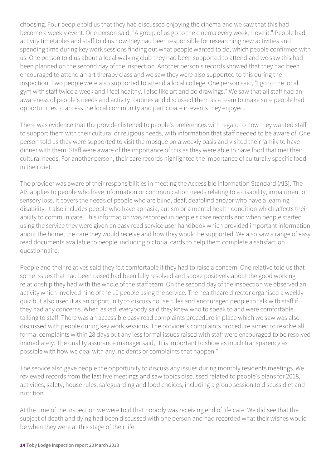choosing. Four people told us that they had discussed enjoying the cinema and we saw that this had become a weekly event. One person said, "A group of us go to the cinema every week, I love it." People had activity timetables and staff told us how they had been responsible for researching new activities and spending time during key work sessions finding out what people wanted to do, which people confirmed with us. One person told us about a local walking club they had been supported to attend and we saw this had been planned on the second day of the inspection. Another person's records showed that they had been encouraged to attend an art therapy class and we saw they were also supported to this during the inspection. Two people were also supported to attend a local college. One person said, "I go to the local gym with staff twice a week and I feel healthy. I also like art and do drawings." We saw that all staff had an awareness of people's needs and activity routines and discussed them as a team to make sure people had opportunities to access the local community and participate in events they enjoyed.

There was evidence that the provider listened to people's preferences with regard to how they wanted staff to support them with their cultural or religious needs, with information that staff needed to be aware of. One person told us they were supported to visit the mosque on a weekly basis and visited their family to have dinner with them. Staff were aware of the importance of this as they were able to have food that met their cultural needs. For another person, their care records highlighted the importance of culturally specific food in their diet.

The provider was aware of their responsibilities in meeting the Accessible Information Standard (AIS). The AIS applies to people who have information or communication needs relating to a disability, impairment or sensory loss. It covers the needs of people who are blind, deaf, deafblind and/or who have a learning disability. It also includes people who have aphasia, autism or a mental health condition which affects their ability to communicate. This information was recorded in people's care records and when people started using the service they were given an easy read service user handbook which provided important information about the home, the care they would receive and how they would be supported. We also saw a range of easy read documents available to people, including pictorial cards to help them complete a satisfaction questionnaire.

People and their relatives said they felt comfortable if they had to raise a concern. One relative told us that some issues that had been raised had been fully resolved and spoke positively about the good working relationship they had with the whole of the staff team. On the second day of the inspection we observed an activity which involved nine of the 10 people using the service. The healthcare director organised a weekly quiz but also used it as an opportunity to discuss house rules and encouraged people to talk with staff if they had any concerns. When asked, everybody said they knew who to speak to and were comfortable talking to staff. There was an accessible easy read complaints procedure in place which we saw was also discussed with people during key work sessions. The provider's complaints procedure aimed to resolve all formal complaints within 28 days but any less formal issues raised with staff were encouraged to be resolved immediately. The quality assurance manager said, "It is important to show as much transparency as possible with how we deal with any incidents or complaints that happen."

The service also gave people the opportunity to discuss any issues during monthly residents meetings. We reviewed records from the last five meetings and saw topics discussed related to people's plans for 2018, activities, safety, house rules, safeguarding and food choices, including a group session to discuss diet and nutrition.

At the time of the inspection we were told that nobody was receiving end of life care. We did see that the subject of death and dying had been discussed with one person and had recorded what their wishes would be when they were at this stage of their life.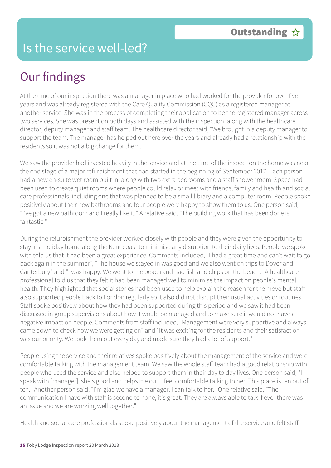At the time of our inspection there was a manager in place who had worked for the provider for over five years and was already registered with the Care Quality Commission (CQC) as a registered manager at another service. She was in the process of completing their application to be the registered manager across two services. She was present on both days and assisted with the inspection, along with the healthcare director, deputy manager and staff team. The healthcare director said, "We brought in a deputy manager to support the team. The manager has helped out here over the years and already had a relationship with the residents so it was not a big change for them."

We saw the provider had invested heavily in the service and at the time of the inspection the home was near the end stage of a major refurbishment that had started in the beginning of September 2017. Each person had a new en-suite wet room built in, along with two extra bedrooms and a staff shower room. Space had been used to create quiet rooms where people could relax or meet with friends, family and health and social care professionals, including one that was planned to be a small library and a computer room. People spoke positively about their new bathrooms and four people were happy to show them to us. One person said, "I've got a new bathroom and I really like it." A relative said, "The building work that has been done is fantastic."

During the refurbishment the provider worked closely with people and they were given the opportunity to stay in a holiday home along the Kent coast to minimise any disruption to their daily lives. People we spoke with told us that it had been a great experience. Comments included, "I had a great time and can't wait to go back again in the summer", "The house we stayed in was good and we also went on trips to Dover and Canterbury" and "I was happy. We went to the beach and had fish and chips on the beach." A healthcare professional told us that they felt it had been managed well to minimise the impact on people's mental health. They highlighted that social stories had been used to help explain the reason for the move but staff also supported people back to London regularly so it also did not disrupt their usual activities or routines. Staff spoke positively about how they had been supported during this period and we saw it had been discussed in group supervisions about how it would be managed and to make sure it would not have a negative impact on people. Comments from staff included, "Management were very supportive and always came down to check how we were getting on" and "It was exciting for the residents and their satisfaction was our priority. We took them out every day and made sure they had a lot of support."

People using the service and their relatives spoke positively about the management of the service and were comfortable talking with the management team. We saw the whole staff team had a good relationship with people who used the service and also helped to support them in their day to day lives. One person said, "I speak with [manager], she's good and helps me out. I feel comfortable talking to her. This place is ten out of ten." Another person said, "I'm glad we have a manager, I can talk to her." One relative said, "The communication I have with staff is second to none, it's great. They are always able to talk if ever there was an issue and we are working well together."

Health and social care professionals spoke positively about the management of the service and felt staff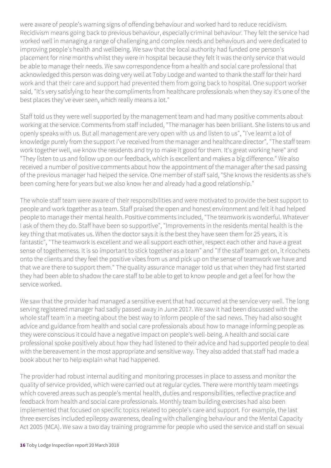were aware of people's warning signs of offending behaviour and worked hard to reduce recidivism. Recidivism means going back to previous behaviour, especially criminal behaviour. They felt the service had worked well in managing a range of challenging and complex needs and behaviours and were dedicated to improving people's health and wellbeing. We saw that the local authority had funded one person's placement for nine months whilst they were in hospital because they felt it was the only service that would be able to manage their needs. We saw correspondence from a health and social care professional that acknowledged this person was doing very well at Toby Lodge and wanted to thank the staff for their hard work and that their care and support had prevented them from going back to hospital. One support worker said, "It's very satisfying to hear the compliments from healthcare professionals when they say it's one of the best places they've ever seen, which really means a lot."

Staff told us they were well supported by the management team and had many positive comments about working at the service. Comments from staff included, "The manager has been brilliant. She listens to us and openly speaks with us. But all management are very open with us and listen to us", "I've learnt a lot of knowledge purely from the support I've received from the manager and healthcare director", "The staff team work together well, we know the residents and try to make it good for them. It's great working here" and "They listen to us and follow up on our feedback, which is excellent and makes a big difference." We also received a number of positive comments about how the appointment of the manager after the sad passing of the previous manager had helped the service. One member of staff said, "She knows the residents as she's been coming here for years but we also know her and already had a good relationship."

The whole staff team were aware of their responsibilities and were motivated to provide the best support to people and work together as a team. Staff praised the open and honest environment and felt it had helped people to manage their mental health. Positive comments included, "The teamwork is wonderful. Whatever I ask of them they do. Staff have been so supportive", "Improvements in the residents mental health is the key thing that motivates us. When the doctor says it is the best they have seen them for 25 years, it is fantastic", "The teamwork is excellent and we all support each other, respect each other and have a great sense of togetherness. It is so important to stick together as a team" and "If the staff team get on, it ricochets onto the clients and they feel the positive vibes from us and pick up on the sense of teamwork we have and that we are there to support them." The quality assurance manager told us that when they had first started they had been able to shadow the care staff to be able to get to know people and get a feel for how the service worked.

We saw that the provider had managed a sensitive event that had occurred at the service very well. The long serving registered manager had sadly passed away in June 2017. We saw it had been discussed with the whole staff team in a meeting about the best way to inform people of the sad news. They had also sought advice and guidance from health and social care professionals about how to manage informing people as they were conscious it could have a negative impact on people's well-being. A health and social care professional spoke positively about how they had listened to their advice and had supported people to deal with the bereavement in the most appropriate and sensitive way. They also added that staff had made a book about her to help explain what had happened.

The provider had robust internal auditing and monitoring processes in place to assess and monitor the quality of service provided, which were carried out at regular cycles. There were monthly team meetings which covered areas such as people's mental health, duties and responsibilities, reflective practice and feedback from health and social care professionals. Monthly team building exercises had also been implemented that focused on specific topics related to people's care and support. For example, the last three exercises included epilepsy awareness, dealing with challenging behaviour and the Mental Capacity Act 2005 (MCA). We saw a two day training programme for people who used the service and staff on sexual